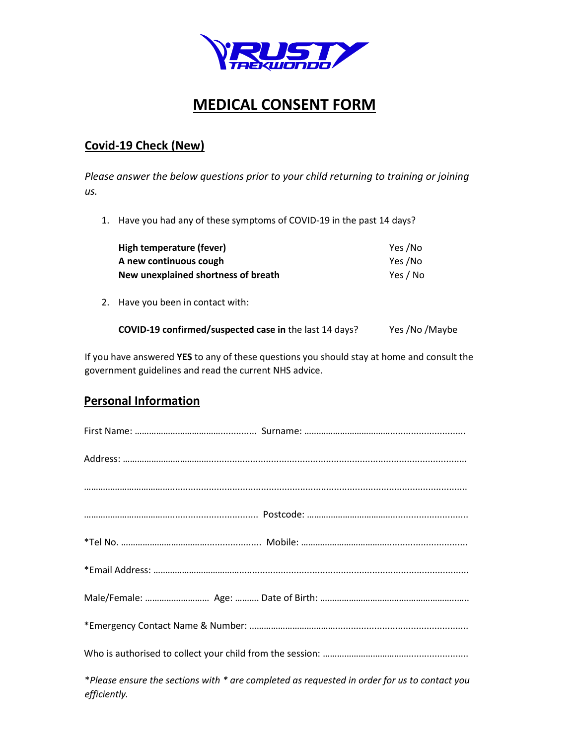

# **MEDICAL CONSENT FORM**

#### **Covid-19 Check (New)**

*Please answer the below questions prior to your child returning to training or joining us.* 

1. Have you had any of these symptoms of COVID-19 in the past 14 days?

| High temperature (fever)            | Yes /No  |
|-------------------------------------|----------|
| A new continuous cough              | Yes /No  |
| New unexplained shortness of breath | Yes / No |

2. Have you been in contact with:

| COVID-19 confirmed/suspected case in the last 14 days? | Yes /No /Maybe |
|--------------------------------------------------------|----------------|
|--------------------------------------------------------|----------------|

If you have answered **YES** to any of these questions you should stay at home and consult the government guidelines and read the current NHS advice.

## **Personal Information**

| *Please ensure the sections with * are completed as requested in order for us to contact you<br>efficiently. |
|--------------------------------------------------------------------------------------------------------------|